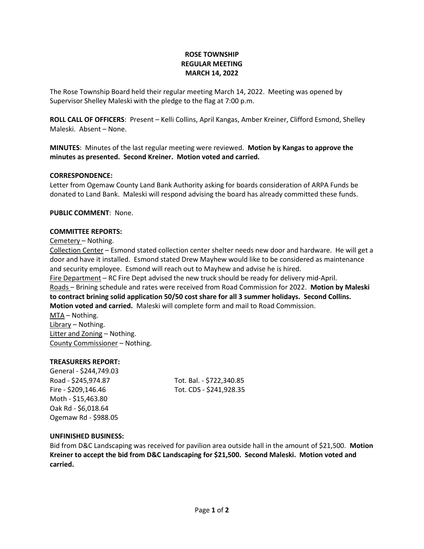# **ROSE TOWNSHIP REGULAR MEETING MARCH 14, 2022**

The Rose Township Board held their regular meeting March 14, 2022. Meeting was opened by Supervisor Shelley Maleski with the pledge to the flag at 7:00 p.m.

**ROLL CALL OF OFFICERS**: Present – Kelli Collins, April Kangas, Amber Kreiner, Clifford Esmond, Shelley Maleski. Absent – None.

**MINUTES**: Minutes of the last regular meeting were reviewed. **Motion by Kangas to approve the minutes as presented. Second Kreiner. Motion voted and carried.**

## **CORRESPONDENCE:**

Letter from Ogemaw County Land Bank Authority asking for boards consideration of ARPA Funds be donated to Land Bank. Maleski will respond advising the board has already committed these funds.

**PUBLIC COMMENT**: None.

#### **COMMITTEE REPORTS:**

Cemetery – Nothing.

Collection Center – Esmond stated collection center shelter needs new door and hardware. He will get a door and have it installed. Esmond stated Drew Mayhew would like to be considered as maintenance and security employee. Esmond will reach out to Mayhew and advise he is hired.

Fire Department – RC Fire Dept advised the new truck should be ready for delivery mid-April. Roads – Brining schedule and rates were received from Road Commission for 2022. **Motion by Maleski to contract brining solid application 50/50 cost share for all 3 summer holidays. Second Collins. Motion voted and carried.** Maleski will complete form and mail to Road Commission.

MTA – Nothing. Library – Nothing. Litter and Zoning – Nothing. County Commissioner – Nothing.

## **TREASURERS REPORT:**

General - \$244,749.03 Road - \$245,974.87 Tot. Bal. - \$722,340.85 Fire - \$209,146.46 Tot. CDS - \$241,928.35 Moth - \$15,463.80 Oak Rd - \$6,018.64 Ogemaw Rd - \$988.05

## **UNFINISHED BUSINESS:**

Bid from D&C Landscaping was received for pavilion area outside hall in the amount of \$21,500. **Motion Kreiner to accept the bid from D&C Landscaping for \$21,500. Second Maleski. Motion voted and carried.**